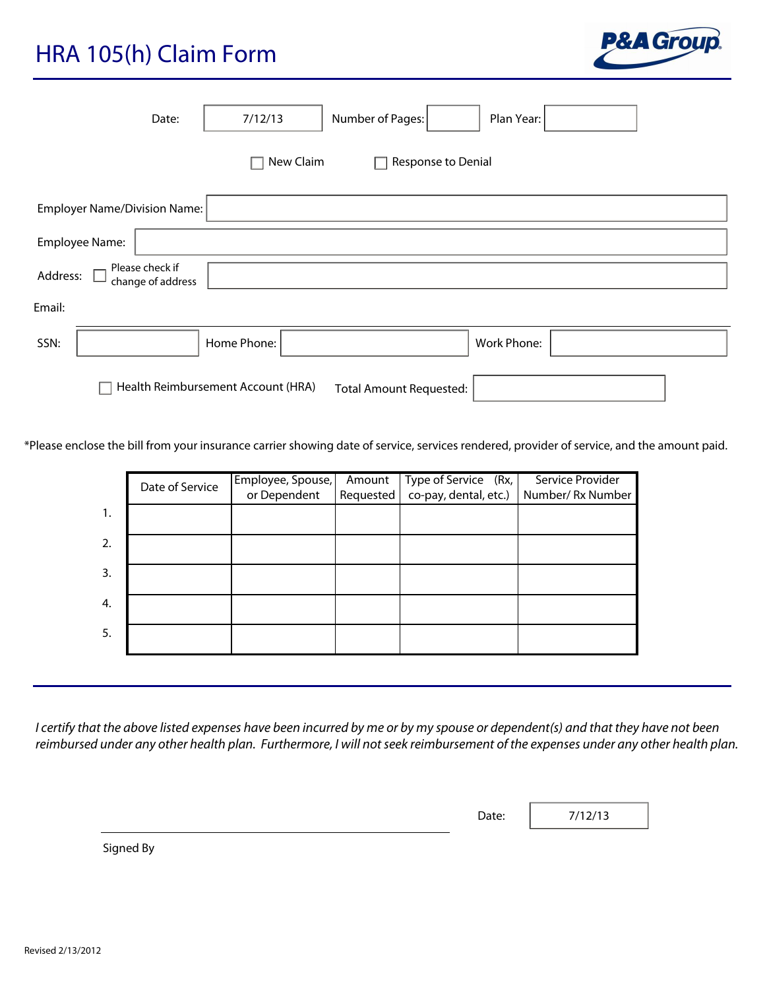## HRA 105(h) Claim Form



|          |                | Date:                                |             | 7/12/13                           | Number of Pages:               |                                               | Plan Year:  |                                                                                                                                                                                                                                                                |  |
|----------|----------------|--------------------------------------|-------------|-----------------------------------|--------------------------------|-----------------------------------------------|-------------|----------------------------------------------------------------------------------------------------------------------------------------------------------------------------------------------------------------------------------------------------------------|--|
|          |                |                                      |             | New Claim                         |                                | Response to Denial                            |             |                                                                                                                                                                                                                                                                |  |
|          |                | <b>Employer Name/Division Name:</b>  |             |                                   |                                |                                               |             |                                                                                                                                                                                                                                                                |  |
|          | Employee Name: |                                      |             |                                   |                                |                                               |             |                                                                                                                                                                                                                                                                |  |
| Address: |                | Please check if<br>change of address |             |                                   |                                |                                               |             |                                                                                                                                                                                                                                                                |  |
| Email:   |                |                                      |             |                                   |                                |                                               |             |                                                                                                                                                                                                                                                                |  |
| SSN:     |                |                                      | Home Phone: |                                   |                                |                                               | Work Phone: |                                                                                                                                                                                                                                                                |  |
|          |                | Health Reimbursement Account (HRA)   |             |                                   | <b>Total Amount Requested:</b> |                                               |             |                                                                                                                                                                                                                                                                |  |
|          |                |                                      |             |                                   |                                |                                               |             | Please enclose the bill from your insurance carrier showing date of service, services rendered, provider of service, and the amount paid.                                                                                                                      |  |
|          |                | Date of Service                      |             | Employee, Spouse,<br>or Dependent | Amount<br>Requested            | Type of Service (Rx,<br>co-pay, dental, etc.) |             | Service Provider<br>Number/Rx Number                                                                                                                                                                                                                           |  |
|          | 1.             |                                      |             |                                   |                                |                                               |             |                                                                                                                                                                                                                                                                |  |
|          | 2.             |                                      |             |                                   |                                |                                               |             |                                                                                                                                                                                                                                                                |  |
|          | 3.             |                                      |             |                                   |                                |                                               |             |                                                                                                                                                                                                                                                                |  |
|          | 4.             |                                      |             |                                   |                                |                                               |             |                                                                                                                                                                                                                                                                |  |
|          | 5.             |                                      |             |                                   |                                |                                               |             |                                                                                                                                                                                                                                                                |  |
|          |                |                                      |             |                                   |                                |                                               |             |                                                                                                                                                                                                                                                                |  |
|          |                |                                      |             |                                   |                                |                                               |             | I certify that the above listed expenses have been incurred by me or by my spouse or dependent(s) and that they have not been<br>reimbursed under any other health plan. Furthermore, I will not seek reimbursement of the expenses under any other health pla |  |
|          |                |                                      |             |                                   |                                |                                               | Date:       | 7/12/13                                                                                                                                                                                                                                                        |  |

|                  | Date of Service | Employee, Spouse, | Amount    | Type of Service (Rx,  | Service Provider |  |
|------------------|-----------------|-------------------|-----------|-----------------------|------------------|--|
|                  |                 | or Dependent      | Requested | co-pay, dental, etc.) | Number/Rx Number |  |
| $\overline{1}$ . |                 |                   |           |                       |                  |  |
| 2.               |                 |                   |           |                       |                  |  |
| 3.               |                 |                   |           |                       |                  |  |
| 4.               |                 |                   |           |                       |                  |  |
| 5.               |                 |                   |           |                       |                  |  |

Date:

Signed By